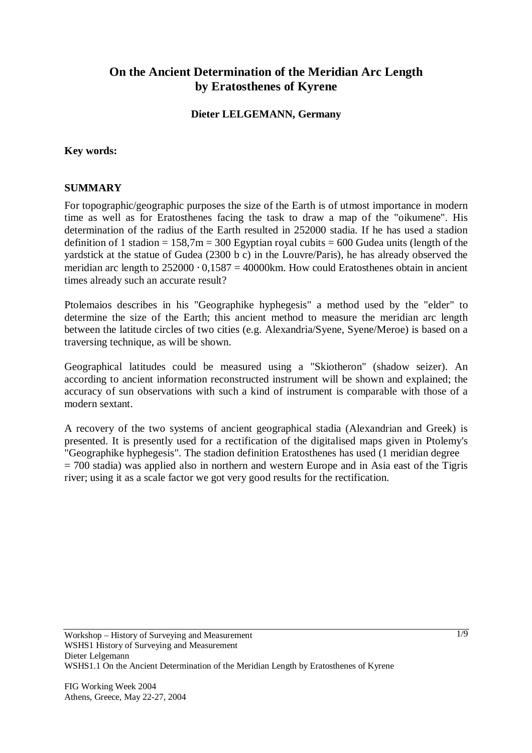# **On the Ancient Determination of the Meridian Arc Length by Eratosthenes of Kyrene**

### **Dieter LELGEMANN, Germany**

#### **Key words:**

#### **SUMMARY**

For topographic/geographic purposes the size of the Earth is of utmost importance in modern time as well as for Eratosthenes facing the task to draw a map of the "oikumene". His determination of the radius of the Earth resulted in 252000 stadia. If he has used a stadion definition of 1 stadion =  $158,7m = 300$  Egyptian royal cubits = 600 Gudea units (length of the yardstick at the statue of Gudea (2300 b c) in the Louvre/Paris), he has already observed the meridian arc length to  $252000 \cdot 0.1587 = 40000$  km. How could Eratosthenes obtain in ancient times already such an accurate result?

Ptolemaios describes in his "Geographike hyphegesis" a method used by the "elder" to determine the size of the Earth; this ancient method to measure the meridian arc length between the latitude circles of two cities (e.g. Alexandria/Syene, Syene/Meroe) is based on a traversing technique, as will be shown.

Geographical latitudes could be measured using a "Skiotheron" (shadow seizer). An according to ancient information reconstructed instrument will be shown and explained; the accuracy of sun observations with such a kind of instrument is comparable with those of a modern sextant.

A recovery of the two systems of ancient geographical stadia (Alexandrian and Greek) is presented. It is presently used for a rectification of the digitalised maps given in Ptolemy's "Geographike hyphegesis". The stadion definition Eratosthenes has used (1 meridian degree  $= 700$  stadia) was applied also in northern and western Europe and in Asia east of the Tigris river; using it as a scale factor we got very good results for the rectification.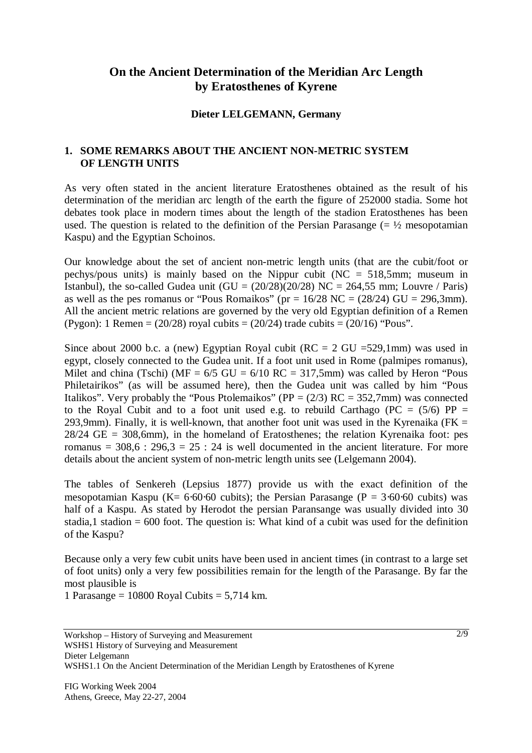# **On the Ancient Determination of the Meridian Arc Length by Eratosthenes of Kyrene**

#### **Dieter LELGEMANN, Germany**

# **1. SOME REMARKS ABOUT THE ANCIENT NON-METRIC SYSTEM OF LENGTH UNITS**

As very often stated in the ancient literature Eratosthenes obtained as the result of his determination of the meridian arc length of the earth the figure of 252000 stadia. Some hot debates took place in modern times about the length of the stadion Eratosthenes has been used. The question is related to the definition of the Persian Parasange  $(=\frac{1}{2})$  mesopotamian Kaspu) and the Egyptian Schoinos.

Our knowledge about the set of ancient non-metric length units (that are the cubit/foot or pechys/pous units) is mainly based on the Nippur cubit (NC = 518,5mm; museum in Istanbul), the so-called Gudea unit  $(GU = (20/28)(20/28)$  NC = 264,55 mm; Louvre / Paris) as well as the pes romanus or "Pous Romaikos" (pr =  $16/28$  NC =  $(28/24)$  GU =  $296.3$ mm). All the ancient metric relations are governed by the very old Egyptian definition of a Remen (Pygon): 1 Remen =  $(20/28)$  royal cubits =  $(20/24)$  trade cubits =  $(20/16)$  "Pous".

Since about 2000 b.c. a (new) Egyptian Royal cubit ( $RC = 2$  GU =529,1mm) was used in egypt, closely connected to the Gudea unit. If a foot unit used in Rome (palmipes romanus), Milet and china (Tschi) ( $MF = 6/5$  GU =  $6/10$  RC = 317,5mm) was called by Heron "Pous Philetairikos" (as will be assumed here), then the Gudea unit was called by him "Pous Italikos". Very probably the "Pous Ptolemaikos" (PP =  $(2/3)$  RC = 352,7mm) was connected to the Royal Cubit and to a foot unit used e.g. to rebuild Carthago ( $PC = (5/6) PP =$ 293,9mm). Finally, it is well-known, that another foot unit was used in the Kyrenaika ( $FK =$  $28/24$  GE = 308,6mm), in the homeland of Eratosthenes; the relation Kyrenaika foot: pes romanus =  $308.6$ :  $296.3 = 25$ :  $24$  is well documented in the ancient literature. For more details about the ancient system of non-metric length units see (Lelgemann 2004).

The tables of Senkereh (Lepsius 1877) provide us with the exact definition of the mesopotamian Kaspu (K=  $6.60.60$  cubits); the Persian Parasange (P =  $3.60.60$  cubits) was half of a Kaspu. As stated by Herodot the persian Paransange was usually divided into 30 stadia,1 stadion  $= 600$  foot. The question is: What kind of a cubit was used for the definition of the Kaspu?

Because only a very few cubit units have been used in ancient times (in contrast to a large set of foot units) only a very few possibilities remain for the length of the Parasange. By far the most plausible is

1 Parasange = 10800 Royal Cubits =  $5,714$  km.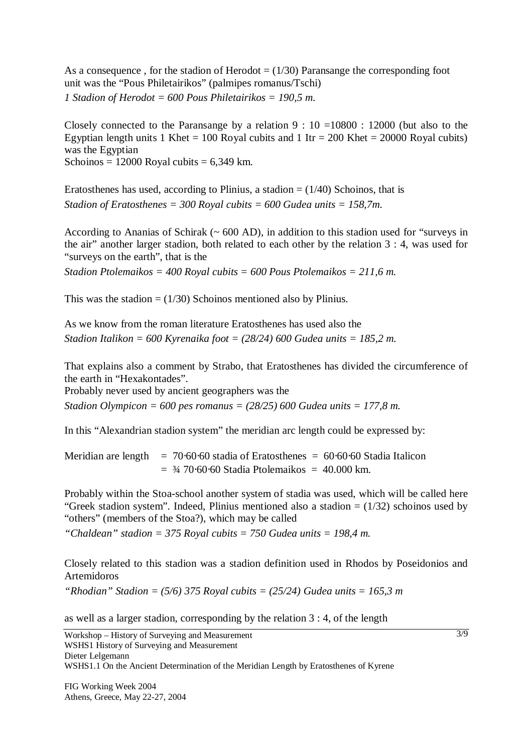As a consequence, for the stadion of Herodot  $= (1/30)$  Paransange the corresponding foot unit was the "Pous Philetairikos" (palmipes romanus/Tschi) *1 Stadion of Herodot = 600 Pous Philetairikos = 190,5 m.* 

Closely connected to the Paransange by a relation  $9:10 = 10800:12000$  (but also to the Egyptian length units 1 Khet = 100 Royal cubits and 1 Itr = 200 Khet = 20000 Royal cubits) was the Egyptian Schoinos =  $12000$  Royal cubits =  $6,349$  km.

Eratosthenes has used, according to Plinius, a stadion  $= (1/40)$  Schoinos, that is *Stadion of Eratosthenes = 300 Royal cubits = 600 Gudea units = 158,7m.* 

According to Ananias of Schirak ( $\sim 600$  AD), in addition to this stadion used for "surveys in the air" another larger stadion, both related to each other by the relation 3 : 4, was used for "surveys on the earth", that is the

*Stadion Ptolemaikos = 400 Royal cubits = 600 Pous Ptolemaikos = 211,6 m.* 

This was the stadion  $= (1/30)$  Schoinos mentioned also by Plinius.

As we know from the roman literature Eratosthenes has used also the *Stadion Italikon = 600 Kyrenaika foot = (28/24) 600 Gudea units = 185,2 m.* 

That explains also a comment by Strabo, that Eratosthenes has divided the circumference of the earth in "Hexakontades".

Probably never used by ancient geographers was the

*Stadion Olympicon = 600 pes romanus = (28/25) 600 Gudea units = 177,8 m.* 

In this "Alexandrian stadion system" the meridian arc length could be expressed by:

Meridian are length  $= 70.60 \cdot 60$  stadia of Eratosthenes  $= 60 \cdot 60 \cdot 60$  Stadia Italicon  $=$  3/4 70⋅60⋅60 Stadia Ptolemaikos = 40.000 km.

Probably within the Stoa-school another system of stadia was used, which will be called here "Greek stadion system". Indeed, Plinius mentioned also a stadion  $= (1/32)$  schoinos used by "others" (members of the Stoa?), which may be called

*"Chaldean" stadion = 375 Royal cubits = 750 Gudea units = 198,4 m.* 

Closely related to this stadion was a stadion definition used in Rhodos by Poseidonios and Artemidoros

*"Rhodian" Stadion = (5/6) 375 Royal cubits = (25/24) Gudea units = 165,3 m* 

as well as a larger stadion, corresponding by the relation 3 : 4, of the length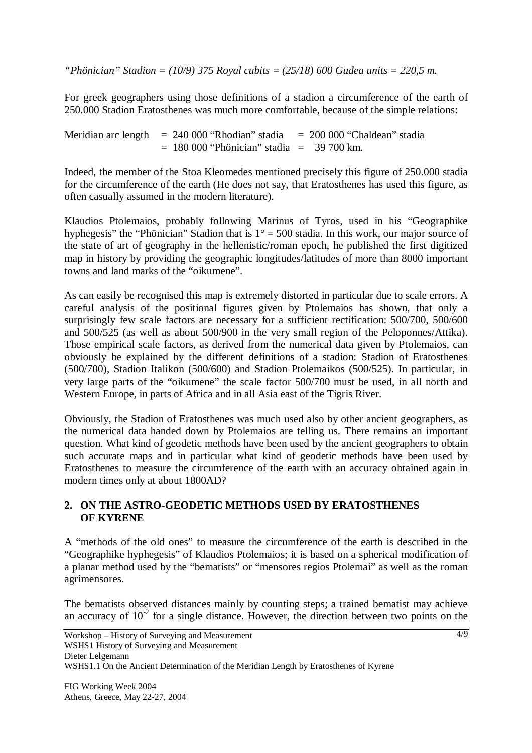*"Phönician" Stadion = (10/9) 375 Royal cubits = (25/18) 600 Gudea units = 220,5 m.* 

For greek geographers using those definitions of a stadion a circumference of the earth of 250.000 Stadion Eratosthenes was much more comfortable, because of the simple relations:

Meridian arc length = 240 000 "Rhodian" stadia = 200 000 "Chaldean" stadia  $= 180 000$  "Phönician" stadia  $= 39 700$  km.

Indeed, the member of the Stoa Kleomedes mentioned precisely this figure of 250.000 stadia for the circumference of the earth (He does not say, that Eratosthenes has used this figure, as often casually assumed in the modern literature).

Klaudios Ptolemaios, probably following Marinus of Tyros, used in his "Geographike hyphegesis" the "Phönician" Stadion that is  $1^\circ = 500$  stadia. In this work, our major source of the state of art of geography in the hellenistic/roman epoch, he published the first digitized map in history by providing the geographic longitudes/latitudes of more than 8000 important towns and land marks of the "oikumene".

As can easily be recognised this map is extremely distorted in particular due to scale errors. A careful analysis of the positional figures given by Ptolemaios has shown, that only a surprisingly few scale factors are necessary for a sufficient rectification: 500/700, 500/600 and 500/525 (as well as about 500/900 in the very small region of the Peloponnes/Attika). Those empirical scale factors, as derived from the numerical data given by Ptolemaios, can obviously be explained by the different definitions of a stadion: Stadion of Eratosthenes (500/700), Stadion Italikon (500/600) and Stadion Ptolemaikos (500/525). In particular, in very large parts of the "oikumene" the scale factor 500/700 must be used, in all north and Western Europe, in parts of Africa and in all Asia east of the Tigris River.

Obviously, the Stadion of Eratosthenes was much used also by other ancient geographers, as the numerical data handed down by Ptolemaios are telling us. There remains an important question. What kind of geodetic methods have been used by the ancient geographers to obtain such accurate maps and in particular what kind of geodetic methods have been used by Eratosthenes to measure the circumference of the earth with an accuracy obtained again in modern times only at about 1800AD?

#### **2. ON THE ASTRO-GEODETIC METHODS USED BY ERATOSTHENES OF KYRENE**

A "methods of the old ones" to measure the circumference of the earth is described in the "Geographike hyphegesis" of Klaudios Ptolemaios; it is based on a spherical modification of a planar method used by the "bematists" or "mensores regios Ptolemai" as well as the roman agrimensores.

The bematists observed distances mainly by counting steps; a trained bematist may achieve an accuracy of  $10^{-2}$  for a single distance. However, the direction between two points on the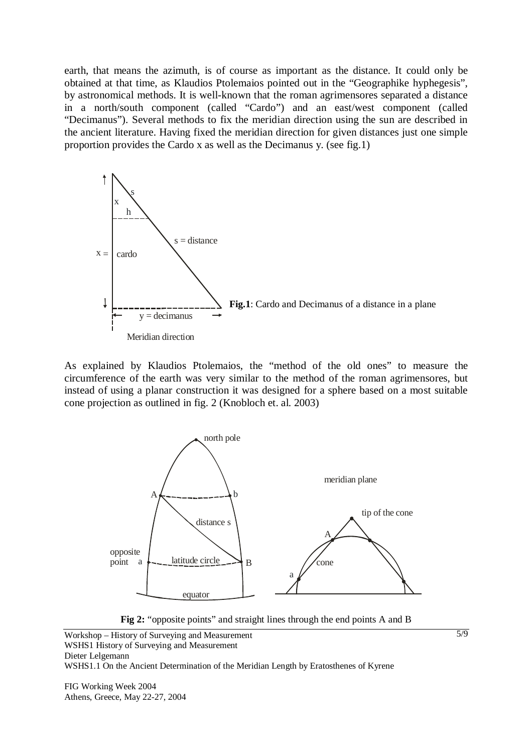earth, that means the azimuth, is of course as important as the distance. It could only be obtained at that time, as Klaudios Ptolemaios pointed out in the "Geographike hyphegesis", by astronomical methods. It is well-known that the roman agrimensores separated a distance in a north/south component (called "Cardo") and an east/west component (called "Decimanus"). Several methods to fix the meridian direction using the sun are described in the ancient literature. Having fixed the meridian direction for given distances just one simple proportion provides the Cardo x as well as the Decimanus y. (see fig.1)



As explained by Klaudios Ptolemaios, the "method of the old ones" to measure the circumference of the earth was very similar to the method of the roman agrimensores, but instead of using a planar construction it was designed for a sphere based on a most suitable cone projection as outlined in fig. 2 (Knobloch et. al. 2003)





Workshop – History of Surveying and Measurement WSHS1 History of Surveying and Measurement Dieter Lelgemann WSHS1.1 On the Ancient Determination of the Meridian Length by Eratosthenes of Kyrene

FIG Working Week 2004 Athens, Greece, May 22-27, 2004 5/9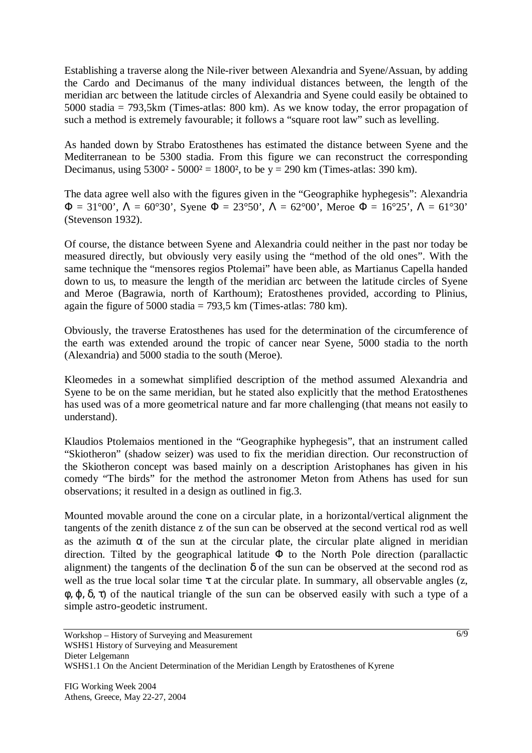Establishing a traverse along the Nile-river between Alexandria and Syene/Assuan, by adding the Cardo and Decimanus of the many individual distances between, the length of the meridian arc between the latitude circles of Alexandria and Syene could easily be obtained to 5000 stadia = 793,5km (Times-atlas: 800 km). As we know today, the error propagation of such a method is extremely favourable; it follows a "square root law" such as levelling.

As handed down by Strabo Eratosthenes has estimated the distance between Syene and the Mediterranean to be 5300 stadia. From this figure we can reconstruct the corresponding Decimanus, using  $5300^2 - 5000^2 = 1800^2$ , to be y = 290 km (Times-atlas: 390 km).

The data agree well also with the figures given in the "Geographike hyphegesis": Alexandria  $\Phi = 31^{\circ}00'$ ,  $\Lambda = 60^{\circ}30'$ , Syene  $\Phi = 23^{\circ}50'$ ,  $\Lambda = 62^{\circ}00'$ , Meroe  $\Phi = 16^{\circ}25'$ ,  $\Lambda = 61^{\circ}30'$ (Stevenson 1932).

Of course, the distance between Syene and Alexandria could neither in the past nor today be measured directly, but obviously very easily using the "method of the old ones". With the same technique the "mensores regios Ptolemai" have been able, as Martianus Capella handed down to us, to measure the length of the meridian arc between the latitude circles of Syene and Meroe (Bagrawia, north of Karthoum); Eratosthenes provided, according to Plinius, again the figure of 5000 stadia  $= 793.5$  km (Times-atlas: 780 km).

Obviously, the traverse Eratosthenes has used for the determination of the circumference of the earth was extended around the tropic of cancer near Syene, 5000 stadia to the north (Alexandria) and 5000 stadia to the south (Meroe).

Kleomedes in a somewhat simplified description of the method assumed Alexandria and Syene to be on the same meridian, but he stated also explicitly that the method Eratosthenes has used was of a more geometrical nature and far more challenging (that means not easily to understand).

Klaudios Ptolemaios mentioned in the "Geographike hyphegesis", that an instrument called "Skiotheron" (shadow seizer) was used to fix the meridian direction. Our reconstruction of the Skiotheron concept was based mainly on a description Aristophanes has given in his comedy "The birds" for the method the astronomer Meton from Athens has used for sun observations; it resulted in a design as outlined in fig.3.

Mounted movable around the cone on a circular plate, in a horizontal/vertical alignment the tangents of the zenith distance z of the sun can be observed at the second vertical rod as well as the azimuth  $\alpha$  of the sun at the circular plate, the circular plate aligned in meridian direction. Tilted by the geographical latitude  $\Phi$  to the North Pole direction (parallactic alignment) the tangents of the declination  $\delta$  of the sun can be observed at the second rod as well as the true local solar time  $\tau$  at the circular plate. In summary, all observable angles (z,  $\phi$ ,  $\phi$ ,  $\delta$ ,  $\tau$ ) of the nautical triangle of the sun can be observed easily with such a type of a simple astro-geodetic instrument.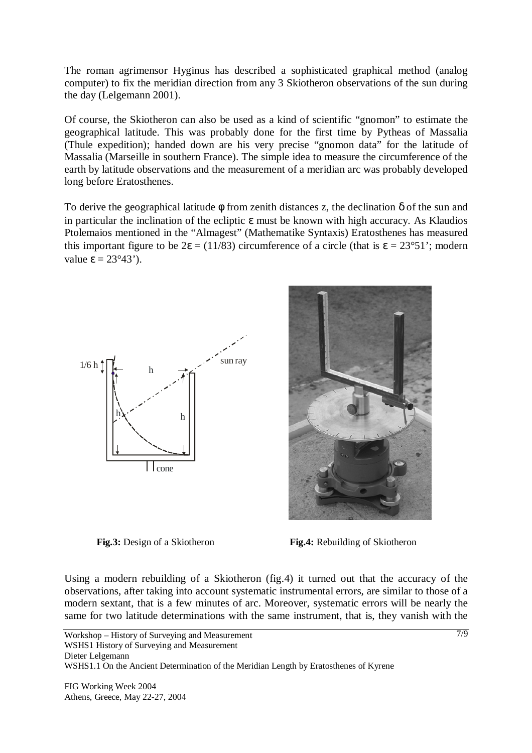The roman agrimensor Hyginus has described a sophisticated graphical method (analog computer) to fix the meridian direction from any 3 Skiotheron observations of the sun during the day (Lelgemann 2001).

Of course, the Skiotheron can also be used as a kind of scientific "gnomon" to estimate the geographical latitude. This was probably done for the first time by Pytheas of Massalia (Thule expedition); handed down are his very precise "gnomon data" for the latitude of Massalia (Marseille in southern France). The simple idea to measure the circumference of the earth by latitude observations and the measurement of a meridian arc was probably developed long before Eratosthenes.

To derive the geographical latitude  $\phi$  from zenith distances z, the declination  $\delta$  of the sun and in particular the inclination of the ecliptic  $\varepsilon$  must be known with high accuracy. As Klaudios Ptolemaios mentioned in the "Almagest" (Mathematike Syntaxis) Eratosthenes has measured this important figure to be  $2\varepsilon = (11/83)$  circumference of a circle (that is  $\varepsilon = 23^{\circ}51$ ); modern value  $\varepsilon = 23^{\circ}43'$ ).





**Fig.3:** Design of a Skiotheron **Fig.4:** Rebuilding of Skiotheron

Using a modern rebuilding of a Skiotheron (fig.4) it turned out that the accuracy of the observations, after taking into account systematic instrumental errors, are similar to those of a modern sextant, that is a few minutes of arc. Moreover, systematic errors will be nearly the same for two latitude determinations with the same instrument, that is, they vanish with the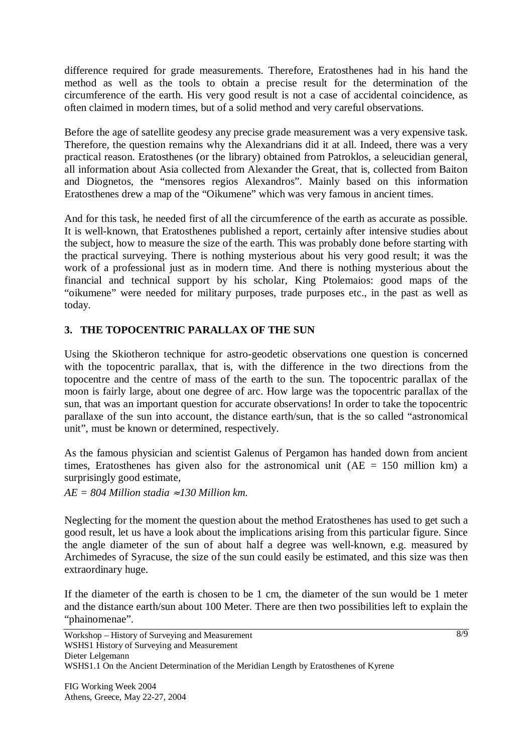difference required for grade measurements. Therefore, Eratosthenes had in his hand the method as well as the tools to obtain a precise result for the determination of the circumference of the earth. His very good result is not a case of accidental coincidence, as often claimed in modern times, but of a solid method and very careful observations.

Before the age of satellite geodesy any precise grade measurement was a very expensive task. Therefore, the question remains why the Alexandrians did it at all. Indeed, there was a very practical reason. Eratosthenes (or the library) obtained from Patroklos, a seleucidian general, all information about Asia collected from Alexander the Great, that is, collected from Baiton and Diognetos, the "mensores regios Alexandros". Mainly based on this information Eratosthenes drew a map of the "Oikumene" which was very famous in ancient times.

And for this task, he needed first of all the circumference of the earth as accurate as possible. It is well-known, that Eratosthenes published a report, certainly after intensive studies about the subject, how to measure the size of the earth. This was probably done before starting with the practical surveying. There is nothing mysterious about his very good result; it was the work of a professional just as in modern time. And there is nothing mysterious about the financial and technical support by his scholar, King Ptolemaios: good maps of the "oikumene" were needed for military purposes, trade purposes etc., in the past as well as today.

# **3. THE TOPOCENTRIC PARALLAX OF THE SUN**

Using the Skiotheron technique for astro-geodetic observations one question is concerned with the topocentric parallax, that is, with the difference in the two directions from the topocentre and the centre of mass of the earth to the sun. The topocentric parallax of the moon is fairly large, about one degree of arc. How large was the topocentric parallax of the sun, that was an important question for accurate observations! In order to take the topocentric parallaxe of the sun into account, the distance earth/sun, that is the so called "astronomical unit", must be known or determined, respectively.

As the famous physician and scientist Galenus of Pergamon has handed down from ancient times, Eratosthenes has given also for the astronomical unit  $(AE = 150$  million km) a surprisingly good estimate,

*AE = 804 Million stadia* ≈ *130 Million km.* 

Neglecting for the moment the question about the method Eratosthenes has used to get such a good result, let us have a look about the implications arising from this particular figure. Since the angle diameter of the sun of about half a degree was well-known, e.g. measured by Archimedes of Syracuse, the size of the sun could easily be estimated, and this size was then extraordinary huge.

If the diameter of the earth is chosen to be 1 cm, the diameter of the sun would be 1 meter and the distance earth/sun about 100 Meter. There are then two possibilities left to explain the "phainomenae".